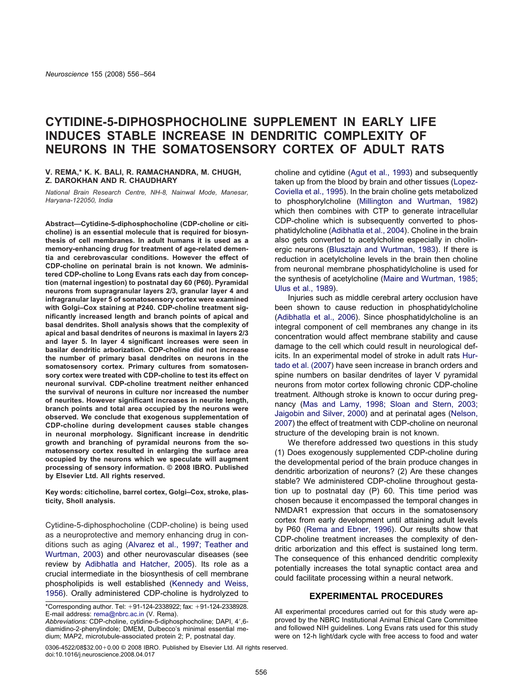# **CYTIDINE-5-DIPHOSPHOCHOLINE SUPPLEMENT IN EARLY LIFE INDUCES STABLE INCREASE IN DENDRITIC COMPLEXITY OF NEURONS IN THE SOMATOSENSORY CORTEX OF ADULT RATS**

#### **V. REMA,\* K. K. BALI, R. RAMACHANDRA, M. CHUGH, Z. DAROKHAN AND R. CHAUDHARY**

*National Brain Research Centre, NH-8, Nainwal Mode, Manesar, Haryana-122050, India*

**Abstract—Cytidine-5-diphosphocholine (CDP-choline or citicholine) is an essential molecule that is required for biosynthesis of cell membranes. In adult humans it is used as a memory-enhancing drug for treatment of age-related dementia and cerebrovascular conditions. However the effect of CDP-choline on perinatal brain is not known. We administered CDP-choline to Long Evans rats each day from conception (maternal ingestion) to postnatal day 60 (P60). Pyramidal neurons from supragranular layers 2/3, granular layer 4 and infragranular layer 5 of somatosensory cortex were examined with Golgi–Cox staining at P240. CDP-choline treatment significantly increased length and branch points of apical and basal dendrites. Sholl analysis shows that the complexity of apical and basal dendrites of neurons is maximal in layers 2/3 and layer 5. In layer 4 significant increases were seen in basilar dendritic arborization. CDP-choline did not increase the number of primary basal dendrites on neurons in the somatosensory cortex. Primary cultures from somatosensory cortex were treated with CDP-choline to test its effect on neuronal survival. CDP-choline treatment neither enhanced the survival of neurons in culture nor increased the number of neurites. However significant increases in neurite length, branch points and total area occupied by the neurons were observed. We conclude that exogenous supplementation of CDP-choline during development causes stable changes in neuronal morphology. Significant increase in dendritic growth and branching of pyramidal neurons from the somatosensory cortex resulted in enlarging the surface area occupied by the neurons which we speculate will augment processing of sensory information. © 2008 IBRO. Published by Elsevier Ltd. All rights reserved.**

**Key words: citicholine, barrel cortex, Golgi–Cox, stroke, plasticity, Sholl analysis.**

Cytidine-5-diphosphocholine (CDP-choline) is being used as a neuroprotective and memory enhancing drug in conditions such as aging [\(Alvarez](#page-7-0) et al., 1997; Teather and [Wurtman,](#page-7-0) 2003) and other neurovascular diseases (see review by [Adibhatla](#page-7-0) and Hatcher, 2005). Its role as a crucial intermediate in the biosynthesis of cell membrane phospholipids is well established [\(Kennedy](#page-8-0) and Weiss, [1956\)](#page-8-0). Orally administered CDP-choline is hydrolyzed to

\*Corresponding author. Tel:  $+91-124-2338922$ ; fax:  $+91-124-2338928$ . E-mail address: [rema@nbrc.ac.in](mailto:rema@nbrc.ac.in) (V. Rema).

*Abbreviations:* CDP-choline, cytidine-5-diphosphocholine; DAPI, 4',6diamidino-2-phenylindole; DMEM, Dulbecco's minimal essential medium; MAP2, microtubule-associated protein 2; P, postnatal day.

 $0306-4522/08$32.00+0.00  $\odot$  2008 IBRO. Published by Elsevier Ltd. All rights reserved.$ doi:10.1016/j.neuroscience.2008.04.017

choline and cytidine (Agut et al., [1993\)](#page-7-0) and subsequently taken up from the blood by brain and other tissues [\(Lopez-](#page-8-0)[Coviella](#page-8-0) et al., 1995). In the brain choline gets metabolized to phosphorylcholine (Millington and [Wurtman,](#page-8-0) 1982) which then combines with CTP to generate intracellular CDP-choline which is subsequently converted to phosphatidylcholine [\(Adibhatla](#page-7-0) et al., 2004). Choline in the brain also gets converted to acetylcholine especially in cholinergic neurons (Blusztajn and [Wurtman,](#page-7-0) 1983). If there is reduction in acetylcholine levels in the brain then choline from neuronal membrane phosphatidylcholine is used for the synthesis of acetylcholine (Maire and [Wurtman,](#page-8-0) 1985; Ulus et al., [1989\)](#page-8-0).

Injuries such as middle cerebral artery occlusion have been shown to cause reduction in phosphatidylcholine [\(Adibhatla](#page-7-0) et al., 2006). Since phosphatidylcholine is an integral component of cell membranes any change in its concentration would affect membrane stability and cause damage to the cell which could result in neurological deficits. In an experimental model of stroke in adult rats [Hur](#page-8-0)tado et al. [\(2007\)](#page-8-0) have seen increase in branch orders and spine numbers on basilar dendrites of layer V pyramidal neurons from motor cortex following chronic CDP-choline treatment. Although stroke is known to occur during pregnancy (Mas and [Lamy,](#page-8-0) 1998; Sloan and Stern, 2003; [Jaigobin](#page-8-0) and Silver, 2000) and at perinatal ages [\(Nelson,](#page-8-0) [2007\)](#page-8-0) the effect of treatment with CDP-choline on neuronal structure of the developing brain is not known.

We therefore addressed two questions in this study (1) Does exogenously supplemented CDP-choline during the developmental period of the brain produce changes in dendritic arborization of neurons? (2) Are these changes stable? We administered CDP-choline throughout gestation up to postnatal day (P) 60. This time period was chosen because it encompassed the temporal changes in NMDAR1 expression that occurs in the somatosensory cortex from early development until attaining adult levels by P60 (Rema and [Ebner,](#page-8-0) 1996). Our results show that CDP-choline treatment increases the complexity of dendritic arborization and this effect is sustained long term. The consequence of this enhanced dendritic complexity potentially increases the total synaptic contact area and could facilitate processing within a neural network.

# **EXPERIMENTAL PROCEDURES**

All experimental procedures carried out for this study were approved by the NBRC Institutional Animal Ethical Care Committee and followed NIH guidelines. Long Evans rats used for this study were on 12-h light/dark cycle with free access to food and water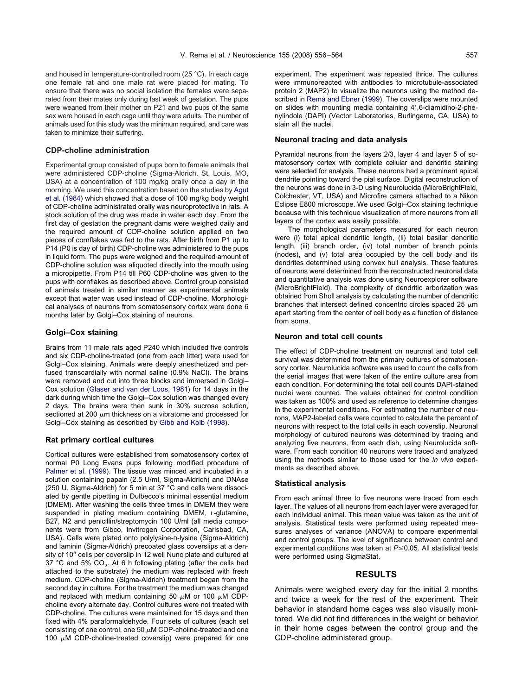and housed in temperature-controlled room (25 °C). In each cage one female rat and one male rat were placed for mating. To ensure that there was no social isolation the females were separated from their mates only during last week of gestation. The pups were weaned from their mother on P21 and two pups of the same sex were housed in each cage until they were adults. The number of animals used for this study was the minimum required, and care was taken to minimize their suffering.

## **CDP-choline administration**

Experimental group consisted of pups born to female animals that were administered CDP-choline (Sigma-Aldrich, St. Louis, MO, USA) at a concentration of 100 mg/kg orally once a day in the morning. We used this concentration based on the studies by [Agut](#page-7-0) [et al. \(1984\)](#page-7-0) which showed that a dose of 100 mg/kg body weight of CDP-choline administrated orally was neuroprotective in rats. A stock solution of the drug was made in water each day. From the first day of gestation the pregnant dams were weighed daily and the required amount of CDP-choline solution applied on two pieces of cornflakes was fed to the rats. After birth from P1 up to P14 (P0 is day of birth) CDP-choline was administered to the pups in liquid form. The pups were weighed and the required amount of CDP-choline solution was aliquoted directly into the mouth using a micropipette. From P14 till P60 CDP-choline was given to the pups with cornflakes as described above. Control group consisted of animals treated in similar manner as experimental animals except that water was used instead of CDP-choline. Morphological analyses of neurons from somatosensory cortex were done 6 months later by Golgi–Cox staining of neurons.

#### **Golgi–Cox staining**

Brains from 11 male rats aged P240 which included five controls and six CDP-choline-treated (one from each litter) were used for Golgi–Cox staining. Animals were deeply anesthetized and perfused transcardially with normal saline (0.9% NaCl). The brains were removed and cut into three blocks and immersed in Golgi– Cox solution [\(Glaser and van der Loos, 1981\)](#page-8-0) for 14 days in the dark during which time the Golgi–Cox solution was changed every 2 days. The brains were then sunk in 30% sucrose solution, sectioned at 200  $\mu$ m thickness on a vibratome and processed for Golgi–Cox staining as described by [Gibb and Kolb \(1998\)](#page-8-0).

#### **Rat primary cortical cultures**

Cortical cultures were established from somatosensory cortex of normal P0 Long Evans pups following modified procedure of [Palmer et al. \(1999\)](#page-8-0). The tissue was minced and incubated in a solution containing papain (2.5 U/ml, Sigma-Aldrich) and DNAse (250 U, Sigma-Aldrich) for 5 min at 37 °C and cells were dissociated by gentle pipetting in Dulbecco's minimal essential medium (DMEM). After washing the cells three times in DMEM they were suspended in plating medium containing DMEM, L-glutamine, B27, N2 and penicillin/streptomycin 100 U/ml (all media components were from Gibco, Invitrogen Corporation, Carlsbad, CA, USA). Cells were plated onto polylysine-D-lysine (Sigma-Aldrich) and laminin (Sigma-Aldrich) precoated glass coverslips at a density of 10<sup>5</sup> cells per coverslip in 12 well Nunc plate and cultured at 37 °C and 5%  $CO<sub>2</sub>$ . At 6 h following plating (after the cells had attached to the substrate) the medium was replaced with fresh medium. CDP-choline (Sigma-Aldrich) treatment began from the second day in culture. For the treatment the medium was changed and replaced with medium containing 50  $\mu$ M or 100  $\mu$ M CDPcholine every alternate day. Control cultures were not treated with CDP-choline. The cultures were maintained for 15 days and then fixed with 4% paraformaldehyde. Four sets of cultures (each set consisting of one control, one 50  $\mu$ M CDP-choline-treated and one 100  $\mu$ M CDP-choline-treated coverslip) were prepared for one

experiment. The experiment was repeated thrice. The cultures were immunoreacted with antibodies to microtubule-associated protein 2 (MAP2) to visualize the neurons using the method described in [Rema and Ebner \(1999\)](#page-8-0). The coverslips were mounted on slides with mounting media containing 4',6-diamidino-2-phenylindole (DAPI) (Vector Laboratories, Burlingame, CA, USA) to stain all the nuclei.

#### **Neuronal tracing and data analysis**

Pyramidal neurons from the layers 2/3, layer 4 and layer 5 of somatosensory cortex with complete cellular and dendritic staining were selected for analysis. These neurons had a prominent apical dendrite pointing toward the pial surface. Digital reconstruction of the neurons was done in 3-D using Neurolucida (MicroBrightField, Colchester, VT, USA) and Microfire camera attached to a Nikon Eclipse E800 microscope. We used Golgi–Cox staining technique because with this technique visualization of more neurons from all layers of the cortex was easily possible.

The morphological parameters measured for each neuron were (i) total apical dendritic length, (ii) total basilar dendritic length, (iii) branch order, (iv) total number of branch points (nodes), and (v) total area occupied by the cell body and its dendrites determined using convex hull analysis. These features of neurons were determined from the reconstructed neuronal data and quantitative analysis was done using Neuroexplorer software (MicroBrightField). The complexity of dendritic arborization was obtained from Sholl analysis by calculating the number of dendritic branches that intersect defined concentric circles spaced 25  $\mu$ m apart starting from the center of cell body as a function of distance from soma.

#### **Neuron and total cell counts**

The effect of CDP-choline treatment on neuronal and total cell survival was determined from the primary cultures of somatosensory cortex. Neurolucida software was used to count the cells from the serial images that were taken of the entire culture area from each condition. For determining the total cell counts DAPI-stained nuclei were counted. The values obtained for control condition was taken as 100% and used as reference to determine changes in the experimental conditions. For estimating the number of neurons, MAP2-labeled cells were counted to calculate the percent of neurons with respect to the total cells in each coverslip. Neuronal morphology of cultured neurons was determined by tracing and analyzing five neurons, from each dish, using Neurolucida software. From each condition 40 neurons were traced and analyzed using the methods similar to those used for the *in vivo* experiments as described above.

#### **Statistical analysis**

From each animal three to five neurons were traced from each layer. The values of all neurons from each layer were averaged for each individual animal. This mean value was taken as the unit of analysis. Statistical tests were performed using repeated measures analyses of variance (ANOVA) to compare experimental and control groups. The level of significance between control and experimental conditions was taken at  $P \leq 0.05$ . All statistical tests were performed using SigmaStat.

#### **RESULTS**

Animals were weighed every day for the initial 2 months and twice a week for the rest of the experiment. Their behavior in standard home cages was also visually monitored. We did not find differences in the weight or behavior in their home cages between the control group and the CDP-choline administered group.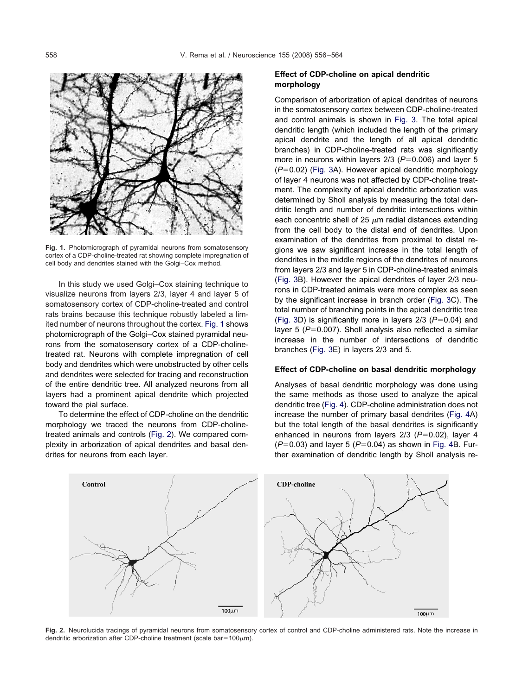

**Fig. 1.** Photomicrograph of pyramidal neurons from somatosensory cortex of a CDP-choline-treated rat showing complete impregnation of cell body and dendrites stained with the Golgi–Cox method.

In this study we used Golgi–Cox staining technique to visualize neurons from layers 2/3, layer 4 and layer 5 of somatosensory cortex of CDP-choline-treated and control rats brains because this technique robustly labeled a limited number of neurons throughout the cortex. Fig. 1 shows photomicrograph of the Golgi–Cox stained pyramidal neurons from the somatosensory cortex of a CDP-cholinetreated rat. Neurons with complete impregnation of cell body and dendrites which were unobstructed by other cells and dendrites were selected for tracing and reconstruction of the entire dendritic tree. All analyzed neurons from all layers had a prominent apical dendrite which projected toward the pial surface.

To determine the effect of CDP-choline on the dendritic morphology we traced the neurons from CDP-cholinetreated animals and controls (Fig. 2). We compared complexity in arborization of apical dendrites and basal dendrites for neurons from each layer.

## **Effect of CDP-choline on apical dendritic morphology**

Comparison of arborization of apical dendrites of neurons in the somatosensory cortex between CDP-choline-treated and control animals is shown in [Fig. 3.](#page-3-0) The total apical dendritic length (which included the length of the primary apical dendrite and the length of all apical dendritic branches) in CDP-choline-treated rats was significantly more in neurons within layers 2/3 (P=0.006) and layer 5 (P=0.02) [\(Fig. 3A](#page-3-0)). However apical dendritic morphology of layer 4 neurons was not affected by CDP-choline treatment. The complexity of apical dendritic arborization was determined by Sholl analysis by measuring the total dendritic length and number of dendritic intersections within each concentric shell of 25  $\mu$ m radial distances extending from the cell body to the distal end of dendrites. Upon examination of the dendrites from proximal to distal regions we saw significant increase in the total length of dendrites in the middle regions of the dendrites of neurons from layers 2/3 and layer 5 in CDP-choline-treated animals [\(Fig. 3B](#page-3-0)). However the apical dendrites of layer 2/3 neurons in CDP-treated animals were more complex as seen by the significant increase in branch order [\(Fig. 3C](#page-3-0)). The total number of branching points in the apical dendritic tree  $(Fig. 3D)$  $(Fig. 3D)$  is significantly more in layers  $2/3$   $(P=0.04)$  and layer 5 (P=0.007). Sholl analysis also reflected a similar increase in the number of intersections of dendritic branches [\(Fig. 3E](#page-3-0)) in layers 2/3 and 5.

#### **Effect of CDP-choline on basal dendritic morphology**

Analyses of basal dendritic morphology was done using the same methods as those used to analyze the apical dendritic tree [\(Fig. 4\)](#page-4-0). CDP-choline administration does not increase the number of primary basal dendrites [\(Fig. 4A](#page-4-0)) but the total length of the basal dendrites is significantly enhanced in neurons from layers 2/3 (P=0.02), layer 4 (*P*=0.03) and layer 5 (*P*=0.04) as shown in [Fig. 4B](#page-4-0). Further examination of dendritic length by Sholl analysis re-



**Fig. 2.** Neurolucida tracings of pyramidal neurons from somatosensory cortex of control and CDP-choline administered rats. Note the increase in dendritic arborization after CDP-choline treatment (scale bar=100 $\mu$ m).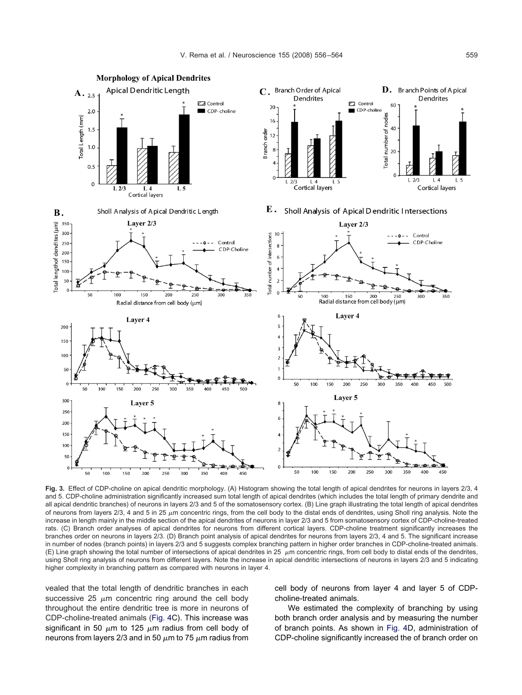<span id="page-3-0"></span>

**Fig. 3.** Effect of CDP-choline on apical dendritic morphology. (A) Histogram showing the total length of apical dendrites for neurons in layers 2/3, 4 and 5. CDP-choline administration significantly increased sum total length of apical dendrites (which includes the total length of primary dendrite and all apical dendritic branches) of neurons in layers 2/3 and 5 of the somatosensory cortex. (B) Line graph illustrating the total length of apical dendrites of neurons from layers 2/3, 4 and 5 in 25  $\mu$ m concentric rings, from the cell body to the distal ends of dendrites, using Sholl ring analysis. Note the increase in length mainly in the middle section of the apical dendrites of neurons in layer 2/3 and 5 from somatosensory cortex of CDP-choline-treated rats. (C) Branch order analyses of apical dendrites for neurons from different cortical layers. CDP-choline treatment significantly increases the branches order on neurons in layers 2/3. (D) Branch point analysis of apical dendrites for neurons from layers 2/3, 4 and 5. The significant increase in number of nodes (branch points) in layers 2/3 and 5 suggests complex branching pattern in higher order branches in CDP-choline-treated animals. (E) Line graph showing the total number of intersections of apical dendrites in 25  $\mu$ m concentric rings, from cell body to distal ends of the dendrites, using Sholl ring analysis of neurons from different layers. Note the increase in apical dendritic intersections of neurons in layers 2/3 and 5 indicating higher complexity in branching pattern as compared with neurons in layer 4.

vealed that the total length of dendritic branches in each successive 25  $\mu$ m concentric ring around the cell body throughout the entire dendritic tree is more in neurons of CDP-choline-treated animals [\(Fig. 4C](#page-4-0)). This increase was significant in 50  $\mu$ m to 125  $\mu$ m radius from cell body of neurons from layers 2/3 and in 50  $\mu$ m to 75  $\mu$ m radius from

cell body of neurons from layer 4 and layer 5 of CDPcholine-treated animals.

We estimated the complexity of branching by using both branch order analysis and by measuring the number of branch points. As shown in [Fig. 4D](#page-4-0), administration of CDP-choline significantly increased the of branch order on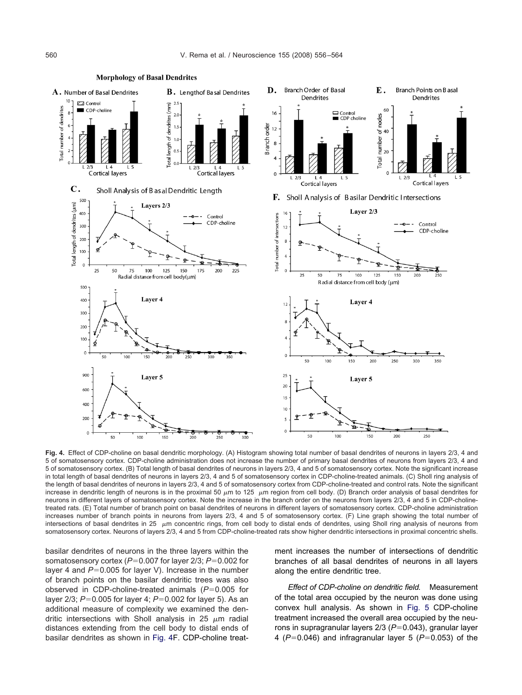<span id="page-4-0"></span>

**Fig. 4.** Effect of CDP-choline on basal dendritic morphology. (A) Histogram showing total number of basal dendrites of neurons in layers 2/3, 4 and 5 of somatosensory cortex. CDP-choline administration does not increase the number of primary basal dendrites of neurons from layers 2/3, 4 and 5 of somatosensory cortex. (B) Total length of basal dendrites of neurons in layers 2/3, 4 and 5 of somatosensory cortex. Note the significant increase in total length of basal dendrites of neurons in layers 2/3, 4 and 5 of somatosensory cortex in CDP-choline-treated animals. (C) Sholl ring analysis of the length of basal dendrites of neurons in layers 2/3, 4 and 5 of somatosensory cortex from CDP-choline-treated and control rats. Note the significant increase in dendritic length of neurons is in the proximal 50  $\mu$ m to 125  $\mu$ m region from cell body. (D) Branch order analysis of basal dendrites for neurons in different layers of somatosensory cortex. Note the increase in the branch order on the neurons from layers 2/3, 4 and 5 in CDP-cholinetreated rats. (E) Total number of branch point on basal dendrites of neurons in different layers of somatosensory cortex. CDP-choline administration increases number of branch points in neurons from layers 2/3, 4 and 5 of somatosensory cortex. (F) Line graph showing the total number of intersections of basal dendrites in 25  $\mu$ m concentric rings, from cell body to distal ends of dendrites, using Sholl ring analysis of neurons from somatosensory cortex. Neurons of layers 2/3, 4 and 5 from CDP-choline-treated rats show higher dendritic intersections in proximal concentric shells.

basilar dendrites of neurons in the three layers within the somatosensory cortex (P=0.007 for layer 2/3; P=0.002 for layer 4 and P=0.005 for layer V). Increase in the number of branch points on the basilar dendritic trees was also observed in CDP-choline-treated animals (P=0.005 for layer 2/3;  $P = 0.005$  for layer 4;  $P = 0.002$  for layer 5). As an additional measure of complexity we examined the dendritic intersections with Sholl analysis in 25  $\mu$ m radial distances extending from the cell body to distal ends of basilar dendrites as shown in Fig. 4F. CDP-choline treatment increases the number of intersections of dendritic branches of all basal dendrites of neurons in all layers along the entire dendritic tree.

*Effect of CDP-choline on dendritic field.* Measurement of the total area occupied by the neuron was done using convex hull analysis. As shown in [Fig. 5](#page-5-0) CDP-choline treatment increased the overall area occupied by the neurons in supragranular layers 2/3 (P=0.043), granular layer 4 (P=0.046) and infragranular layer 5 (P=0.053) of the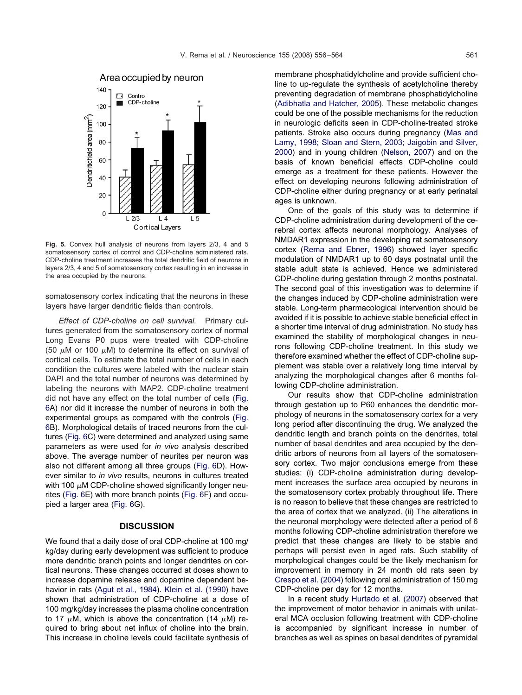<span id="page-5-0"></span>

**Fig. 5.** Convex hull analysis of neurons from layers 2/3, 4 and 5 somatosensory cortex of control and CDP-choline administered rats. CDP-choline treatment increases the total dendritic field of neurons in layers 2/3, 4 and 5 of somatosensory cortex resulting in an increase in the area occupied by the neurons.

somatosensory cortex indicating that the neurons in these layers have larger dendritic fields than controls.

*Effect of CDP-choline on cell survival.* Primary cultures generated from the somatosensory cortex of normal Long Evans P0 pups were treated with CDP-choline (50  $\mu$ M or 100  $\mu$ M) to determine its effect on survival of cortical cells. To estimate the total number of cells in each condition the cultures were labeled with the nuclear stain DAPI and the total number of neurons was determined by labeling the neurons with MAP2. CDP-choline treatment did not have any effect on the total number of cells [\(Fig.](#page-6-0) [6A](#page-6-0)) nor did it increase the number of neurons in both the experimental groups as compared with the controls [\(Fig.](#page-6-0) [6B](#page-6-0)). Morphological details of traced neurons from the cultures [\(Fig. 6C](#page-6-0)) were determined and analyzed using same parameters as were used for *in vivo* analysis described above. The average number of neurites per neuron was also not different among all three groups [\(Fig. 6D](#page-6-0)). However similar to *in vivo* results, neurons in cultures treated with 100  $\mu$ M CDP-choline showed significantly longer neurites [\(Fig. 6E](#page-6-0)) with more branch points [\(Fig. 6F](#page-6-0)) and occupied a larger area [\(Fig. 6G](#page-6-0)).

# **DISCUSSION**

We found that a daily dose of oral CDP-choline at 100 mg/ kg/day during early development was sufficient to produce more dendritic branch points and longer dendrites on cortical neurons. These changes occurred at doses shown to increase dopamine release and dopamine dependent behavior in rats [\(Agut et al., 1984\)](#page-7-0). [Klein et al. \(1990\)](#page-8-0) have shown that administration of CDP-choline at a dose of 100 mg/kg/day increases the plasma choline concentration to 17  $\mu$ M, which is above the concentration (14  $\mu$ M) required to bring about net influx of choline into the brain. This increase in choline levels could facilitate synthesis of membrane phosphatidylcholine and provide sufficient choline to up-regulate the synthesis of acetylcholine thereby preventing degradation of membrane phosphatidylcholine [\(Adibhatla and Hatcher, 2005\)](#page-7-0). These metabolic changes could be one of the possible mechanisms for the reduction in neurologic deficits seen in CDP-choline-treated stroke patients. Stroke also occurs during pregnancy [\(Mas and](#page-8-0) [Lamy, 1998; Sloan and Stern, 2003; Jaigobin and Silver,](#page-8-0) [2000\)](#page-8-0) and in young children [\(Nelson, 2007\)](#page-8-0) and on the basis of known beneficial effects CDP-choline could emerge as a treatment for these patients. However the effect on developing neurons following administration of CDP-choline either during pregnancy or at early perinatal ages is unknown.

One of the goals of this study was to determine if CDP-choline administration during development of the cerebral cortex affects neuronal morphology. Analyses of NMDAR1 expression in the developing rat somatosensory cortex [\(Rema and Ebner, 1996\)](#page-8-0) showed layer specific modulation of NMDAR1 up to 60 days postnatal until the stable adult state is achieved. Hence we administered CDP-choline during gestation through 2 months postnatal. The second goal of this investigation was to determine if the changes induced by CDP-choline administration were stable. Long-term pharmacological intervention should be avoided if it is possible to achieve stable beneficial effect in a shorter time interval of drug administration. No study has examined the stability of morphological changes in neurons following CDP-choline treatment. In this study we therefore examined whether the effect of CDP-choline supplement was stable over a relatively long time interval by analyzing the morphological changes after 6 months following CDP-choline administration.

Our results show that CDP-choline administration through gestation up to P60 enhances the dendritic morphology of neurons in the somatosensory cortex for a very long period after discontinuing the drug. We analyzed the dendritic length and branch points on the dendrites, total number of basal dendrites and area occupied by the dendritic arbors of neurons from all layers of the somatosensory cortex. Two major conclusions emerge from these studies: (i) CDP-choline administration during development increases the surface area occupied by neurons in the somatosensory cortex probably throughout life. There is no reason to believe that these changes are restricted to the area of cortex that we analyzed. (ii) The alterations in the neuronal morphology were detected after a period of 6 months following CDP-choline administration therefore we predict that these changes are likely to be stable and perhaps will persist even in aged rats. Such stability of morphological changes could be the likely mechanism for improvement in memory in 24 month old rats seen by [Crespo et al. \(2004\)](#page-7-0) following oral administration of 150 mg CDP-choline per day for 12 months.

In a recent study [Hurtado et al. \(2007\)](#page-8-0) observed that the improvement of motor behavior in animals with unilateral MCA occlusion following treatment with CDP-choline is accompanied by significant increase in number of branches as well as spines on basal dendrites of pyramidal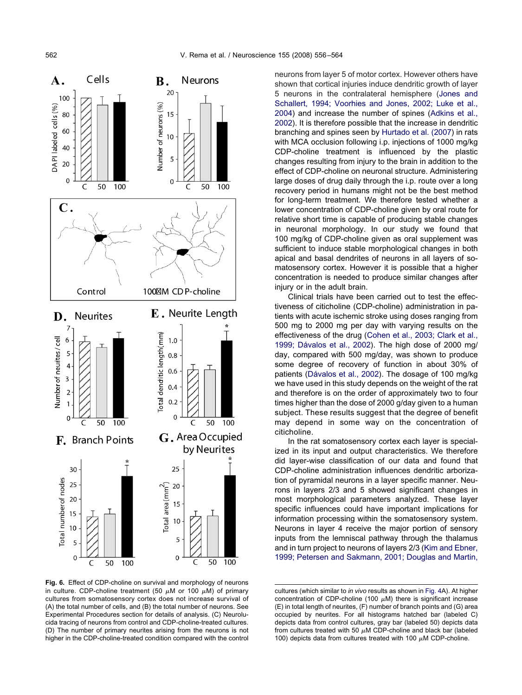<span id="page-6-0"></span>

**Fig. 6.** Effect of CDP-choline on survival and morphology of neurons in culture. CDP-choline treatment (50  $\mu$ M or 100  $\mu$ M) of primary cultures from somatosensory cortex does not increase survival of (A) the total number of cells, and (B) the total number of neurons. See Experimental Procedures section for details of analysis. (C) Neurolucida tracing of neurons from control and CDP-choline-treated cultures. (D) The number of primary neurites arising from the neurons is not higher in the CDP-choline-treated condition compared with the control

neurons from layer 5 of motor cortex. However others have shown that cortical injuries induce dendritic growth of layer 5 neurons in the contralateral hemisphere [\(Jones and](#page-8-0) [Schallert, 1994; Voorhies and Jones, 2002; Luke et al.,](#page-8-0) [2004\)](#page-8-0) and increase the number of spines [\(Adkins et al.,](#page-7-0) [2002\)](#page-7-0). It is therefore possible that the increase in dendritic branching and spines seen by [Hurtado et al. \(2007\)](#page-8-0) in rats with MCA occlusion following i.p. injections of 1000 mg/kg CDP-choline treatment is influenced by the plastic changes resulting from injury to the brain in addition to the effect of CDP-choline on neuronal structure. Administering large doses of drug daily through the i.p. route over a long recovery period in humans might not be the best method for long-term treatment. We therefore tested whether a lower concentration of CDP-choline given by oral route for relative short time is capable of producing stable changes in neuronal morphology. In our study we found that 100 mg/kg of CDP-choline given as oral supplement was sufficient to induce stable morphological changes in both apical and basal dendrites of neurons in all layers of somatosensory cortex. However it is possible that a higher concentration is needed to produce similar changes after injury or in the adult brain.

Clinical trials have been carried out to test the effectiveness of citicholine (CDP-choline) administration in patients with acute ischemic stroke using doses ranging from 500 mg to 2000 mg per day with varying results on the effectiveness of the drug [\(Cohen et al., 2003; Clark et al.,](#page-7-0) [1999; Dávalos et al., 2002\)](#page-7-0). The high dose of 2000 mg/ day, compared with 500 mg/day, was shown to produce some degree of recovery of function in about 30% of patients [\(Dávalos et al., 2002\)](#page-8-0). The dosage of 100 mg/kg we have used in this study depends on the weight of the rat and therefore is on the order of approximately two to four times higher than the dose of 2000 g/day given to a human subject. These results suggest that the degree of benefit may depend in some way on the concentration of citicholine.

In the rat somatosensory cortex each layer is specialized in its input and output characteristics. We therefore did layer-wise classification of our data and found that CDP-choline administration influences dendritic arborization of pyramidal neurons in a layer specific manner. Neurons in layers 2/3 and 5 showed significant changes in most morphological parameters analyzed. These layer specific influences could have important implications for information processing within the somatosensory system. Neurons in layer 4 receive the major portion of sensory inputs from the lemniscal pathway through the thalamus and in turn project to neurons of layers 2/3 [\(Kim and Ebner,](#page-8-0) [1999; Petersen and Sakmann, 2001; Douglas and Martin,](#page-8-0)

cultures (which similar to *in vivo* results as shown in [Fig. 4A](#page-4-0)). At higher concentration of CDP-choline (100  $\mu$ M) there is significant increase (E) in total length of neurites, (F) number of branch points and (G) area occupied by neurites. For all histograms hatched bar (labeled C) depicts data from control cultures, gray bar (labeled 50) depicts data from cultures treated with 50  $\mu$ M CDP-choline and black bar (labeled 100) depicts data from cultures treated with 100  $\mu$ M CDP-choline.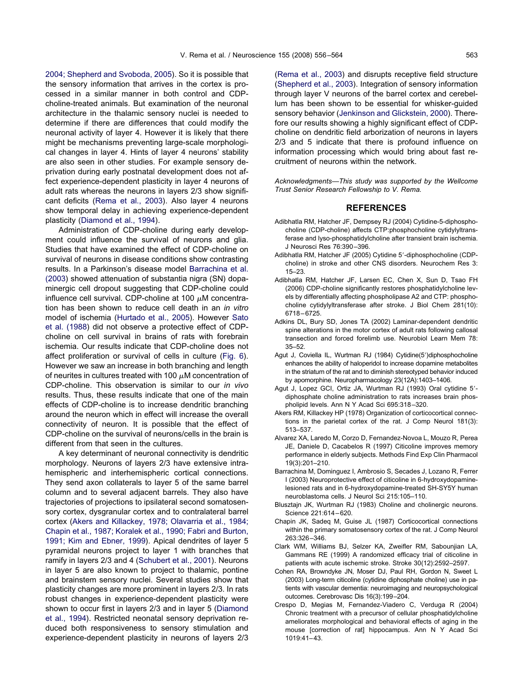<span id="page-7-0"></span>[2004; Shepherd and Svoboda, 2005\)](#page-8-0). So it is possible that the sensory information that arrives in the cortex is processed in a similar manner in both control and CDPcholine-treated animals. But examination of the neuronal architecture in the thalamic sensory nuclei is needed to determine if there are differences that could modify the neuronal activity of layer 4. However it is likely that there might be mechanisms preventing large-scale morphological changes in layer 4. Hints of layer 4 neurons' stability are also seen in other studies. For example sensory deprivation during early postnatal development does not affect experience-dependent plasticity in layer 4 neurons of adult rats whereas the neurons in layers 2/3 show significant deficits [\(Rema et al., 2003\)](#page-8-0). Also layer 4 neurons show temporal delay in achieving experience-dependent plasticity [\(Diamond et al., 1994\)](#page-8-0).

Administration of CDP-choline during early development could influence the survival of neurons and glia. Studies that have examined the effect of CDP-choline on survival of neurons in disease conditions show contrasting results. In a Parkinson's disease model Barrachina et al. (2003) showed attenuation of substantia nigra (SN) dopaminergic cell dropout suggesting that CDP-choline could influence cell survival. CDP-choline at 100  $\mu$ M concentration has been shown to reduce cell death in an *in vitro* model of ischemia [\(Hurtado et al., 2005\)](#page-8-0). However [Sato](#page-8-0) [et al. \(1988\)](#page-8-0) did not observe a protective effect of CDPcholine on cell survival in brains of rats with forebrain ischemia. Our results indicate that CDP-choline does not affect proliferation or survival of cells in culture [\(Fig. 6\)](#page-6-0). However we saw an increase in both branching and length of neurites in cultures treated with 100  $\mu$ M concentration of CDP-choline. This observation is similar to our *in vivo* results. Thus, these results indicate that one of the main effects of CDP-choline is to increase dendritic branching around the neuron which in effect will increase the overall connectivity of neuron. It is possible that the effect of CDP-choline on the survival of neurons/cells in the brain is different from that seen in the cultures.

A key determinant of neuronal connectivity is dendritic morphology. Neurons of layers 2/3 have extensive intrahemispheric and interhemispheric cortical connections. They send axon collaterals to layer 5 of the same barrel column and to several adjacent barrels. They also have trajectories of projections to ipsilateral second somatosensory cortex, dysgranular cortex and to contralateral barrel cortex (Akers and Killackey, 1978; Olavarria et al., 1984; Chapin et al., 1987; Koralek et al., 1990; Fabri and Burton, 1991; Kim and Ebner, 1999). Apical dendrites of layer 5 pyramidal neurons project to layer 1 with branches that ramify in layers 2/3 and 4 [\(Schubert et al., 2001\)](#page-8-0). Neurons in layer 5 are also known to project to thalamic, pontine and brainstem sensory nuclei. Several studies show that plasticity changes are more prominent in layers 2/3. In rats robust changes in experience-dependent plasticity were shown to occur first in layers 2/3 and in layer 5 [\(Diamond](#page-8-0) [et al., 1994\)](#page-8-0). Restricted neonatal sensory deprivation reduced both responsiveness to sensory stimulation and experience-dependent plasticity in neurons of layers 2/3

[\(Rema et al., 2003\)](#page-8-0) and disrupts receptive field structure [\(Shepherd et al., 2003\)](#page-8-0). Integration of sensory information through layer V neurons of the barrel cortex and cerebellum has been shown to be essential for whisker-guided sensory behavior [\(Jenkinson and Glickstein, 2000\)](#page-8-0). Therefore our results showing a highly significant effect of CDPcholine on dendritic field arborization of neurons in layers 2/3 and 5 indicate that there is profound influence on information processing which would bring about fast recruitment of neurons within the network.

*Acknowledgments—This study was supported by the Wellcome Trust Senior Research Fellowship to V. Rema.*

## **REFERENCES**

- Adibhatla RM, Hatcher JF, Dempsey RJ (2004) Cytidine-5-diphosphocholine (CDP-choline) affects CTP:phosphocholine cytidylyltransferase and lyso-phosphatidylcholine after transient brain ischemia. J Neurosci Res 76:390 –396.
- Adibhatla RM, Hatcher JF (2005) Cytidine 5'-diphosphocholine (CDPcholine) in stroke and other CNS disorders. Neurochem Res 3: 15–23.
- Adibhatla RM, Hatcher JF, Larsen EC, Chen X, Sun D, Tsao FH (2006) CDP-choline significantly restores phosphatidylcholine levels by differentially affecting phospholipase A2 and CTP: phosphocholine cytidylyltransferase after stroke. J Biol Chem 281(10): 6718 – 6725.
- Adkins DL, Bury SD, Jones TA (2002) Laminar-dependent dendritic spine alterations in the motor cortex of adult rats following callosal transection and forced forelimb use. Neurobiol Learn Mem 78: 35–52.
- Agut J. Coviella IL, Wurtman RJ (1984) Cytidine(5')diphosphocholine enhances the ability of haloperidol to increase dopamine metabolites in the striatum of the rat and to diminish stereotyped behavior induced by apomorphine. Neuropharmacology 23(12A):1403–1406.
- Agut J, Lopez GCI, Ortiz JA, Wurtman RJ (1993) Oral cytidine 5'diphosphate choline administration to rats increases brain phospholipid levels. Ann N Y Acad Sci 695:318 –320.
- Akers RM, Killackey HP (1978) Organization of corticocortical connections in the parietal cortex of the rat. J Comp Neurol 181(3): 513–537.
- Alvarez XA, Laredo M, Corzo D, Fernandez-Novoa L, Mouzo R, Perea JE, Daniele D, Cacabelos R (1997) Citicoline improves memory performance in elderly subjects. Methods Find Exp Clin Pharmacol 19(3):201–210.
- Barrachina M, Dominguez I, Ambrosio S, Secades J, Lozano R, Ferrer I (2003) Neuroprotective effect of citicoline in 6-hydroxydopaminelesioned rats and in 6-hydroxydopamine-treated SH-SY5Y human neuroblastoma cells. J Neurol Sci 215:105–110.
- Blusztajn JK, Wurtman RJ (1983) Choline and cholinergic neurons. Science 221:614 – 620.
- Chapin JK, Sadeq M, Guise JL (1987) Corticocortical connections within the primary somatosensory cortex of the rat. J Comp Neurol 263:326 –346.
- Clark WM, Williams BJ, Selzer KA, Zweifler RM, Sabounjian LA, Gammans RE (1999) A randomized efficacy trial of citicoline in patients with acute ischemic stroke. Stroke 30(12):2592–2597.
- Cohen RA, Browndyke JN, Moser DJ, Paul RH, Gordon N, Sweet L (2003) Long-term citicoline (cytidine diphosphate choline) use in patients with vascular dementia: neuroimaging and neuropsychological outcomes. Cerebrovasc Dis 16(3):199–204.
- Crespo D, Megias M, Fernandez-Viadero C, Verduga R (2004) Chronic treatment with a precursor of cellular phosphatidylcholine ameliorates morphological and behavioral effects of aging in the mouse [correction of rat] hippocampus. Ann N Y Acad Sci  $1019.41 - 43$